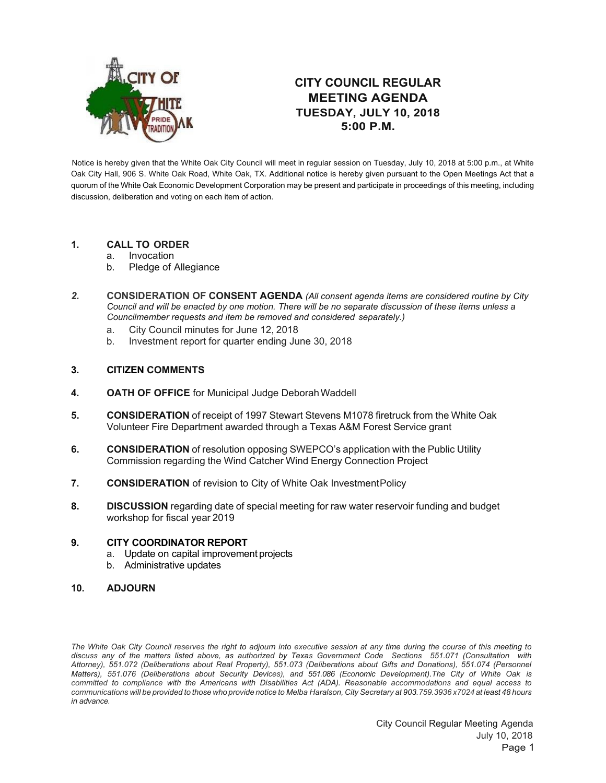

## **CITY COUNCIL REGULAR MEETING AGENDA TUESDAY, JULY 10, 2018 5:00 P.M.**

Notice is hereby given that the White Oak City Council will meet in regular session on Tuesday, July 10, 2018 at 5:00 p.m., at White Oak City Hall, 906 S. White Oak Road, White Oak, TX. Additional notice is hereby given pursuant to the Open Meetings Act that a quorum of the White Oak Economic Development Corporation may be present and participate in proceedings of this meeting, including discussion, deliberation and voting on each item of action.

## **1. CALL TO ORDER**

- a. Invocation
- b. Pledge of Allegiance
- *2.* **CONSIDERATION OF CONSENT AGENDA** *(All consent agenda items are considered routine by City Council and will be enacted by one motion. There will be no separate discussion of these items unless a Councilmember requests and item be removed and considered separately.)*
	- a. City Council minutes for June 12, 2018
	- b. Investment report for quarter ending June 30, 2018

## **3. CITIZEN COMMENTS**

- **4. OATH OF OFFICE** for Municipal Judge DeborahWaddell
- **5. CONSIDERATION** of receipt of 1997 Stewart Stevens M1078 firetruck from the White Oak Volunteer Fire Department awarded through a Texas A&M Forest Service grant
- **6. CONSIDERATION** of resolution opposing SWEPCO's application with the Public Utility Commission regarding the Wind Catcher Wind Energy Connection Project
- **7. CONSIDERATION** of revision to City of White Oak InvestmentPolicy
- **8. DISCUSSION** regarding date of special meeting for raw water reservoir funding and budget workshop for fiscal year 2019

## **9. CITY COORDINATOR REPORT**

- a. Update on capital improvement projects
- b. Administrative updates
- **10. ADJOURN**

*The White Oak City Council reserves the right to adjourn into executive session at any time during the course of this meeting to discuss any of the matters listed above, as authorized by Texas Government Code Sections 551.071 (Consultation with Attorney), 551.072 (Deliberations about Real Property), 551.073 (Deliberations about Gifts and Donations), 551.074 (Personnel Matters), 551.076 (Deliberations about Security Devices), and 551.086 (Economic Development).The City of White Oak is committed to compliance with the Americans with Disabilities Act (ADA). Reasonable accommodations and equal access to*  communications will be provided to those who provide notice to Melba Haralson, City Secretary at 903.759.3936 x7024 at least 48 hours *in advance.*